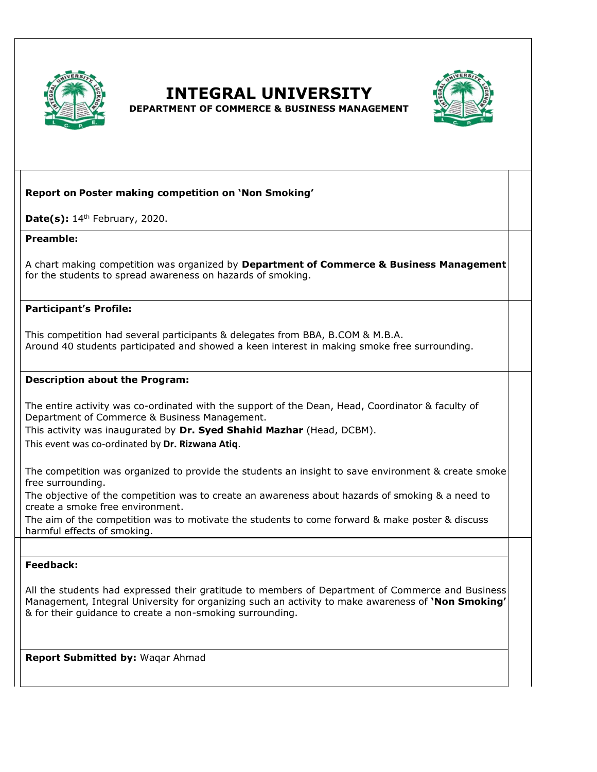

**INTEGRAL UNIVERSITY** 



**DEPARTMENT OF COMMERCE & BUSINESS MANAGEMENT**

# **Report on Poster making competition on 'Non Smoking'**

**Date(s):** 14th February, 2020.

### **Preamble:**

A chart making competition was organized by **Department of Commerce & Business Management** for the students to spread awareness on hazards of smoking.

## **Participant's Profile:**

This competition had several participants & delegates from BBA, B.COM & M.B.A. Around 40 students participated and showed a keen interest in making smoke free surrounding.

### **Description about the Program:**

The entire activity was co-ordinated with the support of the Dean, Head, Coordinator & faculty of Department of Commerce & Business Management.

This activity was inaugurated by **Dr. Syed Shahid Mazhar** (Head, DCBM).

This event was co-ordinated by **Dr. Rizwana Atiq**.

The competition was organized to provide the students an insight to save environment & create smoke free surrounding.

The objective of the competition was to create an awareness about hazards of smoking & a need to create a smoke free environment.

The aim of the competition was to motivate the students to come forward & make poster & discuss harmful effects of smoking.

### **Feedback:**

All the students had expressed their gratitude to members of Department of Commerce and Business Management, Integral University for organizing such an activity to make awareness of **'Non Smoking'** & for their guidance to create a non-smoking surrounding.

**Report Submitted by:** Waqar Ahmad